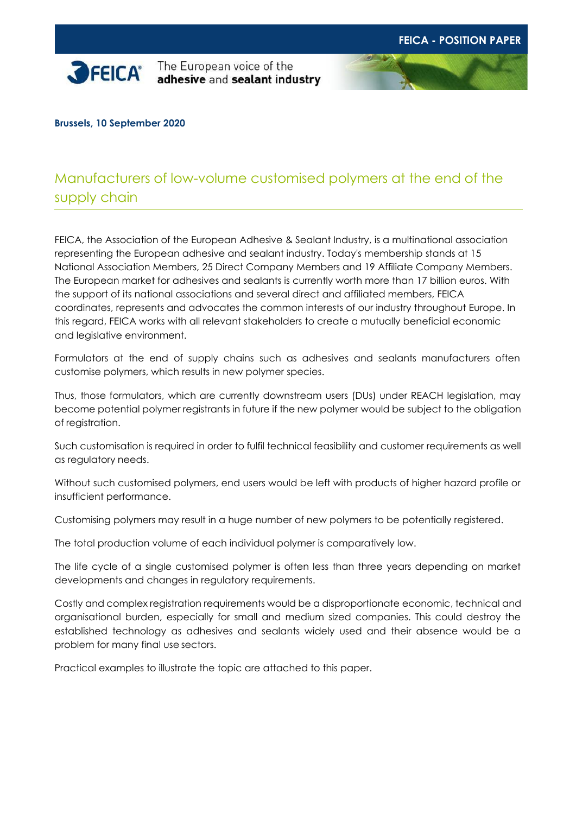

**SPEICA** The European voice of the adhesive and sealant industry



**Brussels, 10 September 2020**

# Manufacturers of low-volume customised polymers at the end of the supply chain

FEICA, the Association of the European Adhesive & Sealant Industry, is a multinational association representing the European adhesive and sealant industry. Today's membership stands at 15 National Association Members, 25 Direct Company Members and 19 Affiliate Company Members. The European market for adhesives and sealants is currently worth more than 17 billion euros. With the support of its national associations and several direct and affiliated members, FEICA coordinates, represents and advocates the common interests of our industry throughout Europe. In this regard, FEICA works with all relevant stakeholders to create a mutually beneficial economic and legislative environment.

Formulators at the end of supply chains such as adhesives and sealants manufacturers often customise polymers, which results in new polymer species.

Thus, those formulators, which are currently downstream users (DUs) under REACH legislation, may become potential polymer registrants in future if the new polymer would be subject to the obligation of registration.

Such customisation is required in order to fulfil technical feasibility and customer requirements as well as regulatory needs.

Without such customised polymers, end users would be left with products of higher hazard profile or insufficient performance.

Customising polymers may result in a huge number of new polymers to be potentially registered.

The total production volume of each individual polymer is comparatively low.

The life cycle of a single customised polymer is often less than three years depending on market developments and changes in regulatory requirements.

Costly and complex registration requirements would be a disproportionate economic, technical and organisational burden, especially for small and medium sized companies. This could destroy the established technology as adhesives and sealants widely used and their absence would be a problem for many final use sectors.

Practical examples to illustrate the topic are attached to this paper.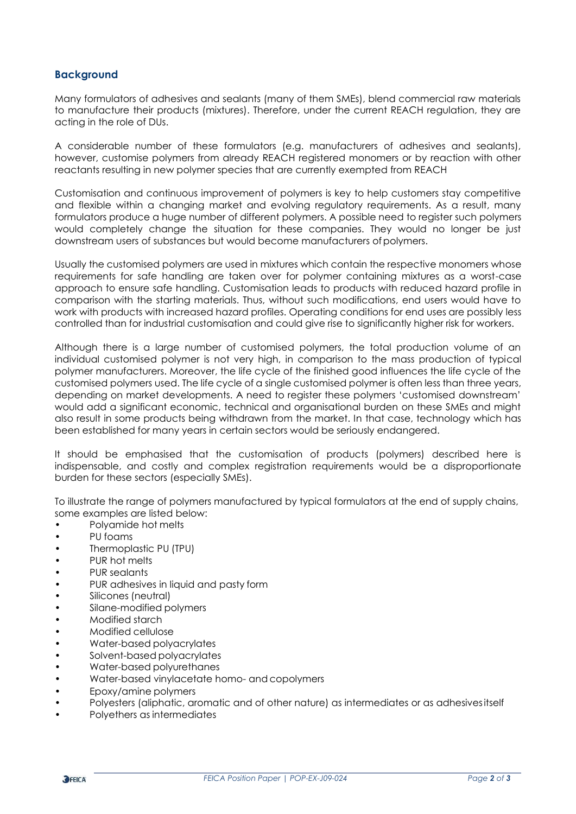## **Background**

Many formulators of adhesives and sealants (many of them SMEs), blend commercial raw materials to manufacture their products (mixtures). Therefore, under the current REACH regulation, they are acting in the role of DUs.

A considerable number of these formulators (e.g. manufacturers of adhesives and sealants), however, customise polymers from already REACH registered monomers or by reaction with other reactants resulting in new polymer species that are currently exempted from REACH

Customisation and continuous improvement of polymers is key to help customers stay competitive and flexible within a changing market and evolving regulatory requirements. As a result, many formulators produce a huge number of different polymers. A possible need to register such polymers would completely change the situation for these companies. They would no longer be just downstream users of substances but would become manufacturers ofpolymers.

Usually the customised polymers are used in mixtures which contain the respective monomers whose requirements for safe handling are taken over for polymer containing mixtures as a worst-case approach to ensure safe handling. Customisation leads to products with reduced hazard profile in comparison with the starting materials. Thus, without such modifications, end users would have to work with products with increased hazard profiles. Operating conditions for end uses are possibly less controlled than for industrial customisation and could give rise to significantly higher risk for workers.

Although there is a large number of customised polymers, the total production volume of an individual customised polymer is not very high, in comparison to the mass production of typical polymer manufacturers. Moreover, the life cycle of the finished good influences the life cycle of the customised polymers used. The life cycle of a single customised polymer is often less than three years, depending on market developments. A need to register these polymers 'customised downstream' would add a significant economic, technical and organisational burden on these SMEs and might also result in some products being withdrawn from the market. In that case, technology which has been established for many years in certain sectors would be seriously endangered.

It should be emphasised that the customisation of products (polymers) described here is indispensable, and costly and complex registration requirements would be a disproportionate burden for these sectors (especially SMEs).

To illustrate the range of polymers manufactured by typical formulators at the end of supply chains, some examples are listed below:

- Polyamide hot melts
- PU foams
- Thermoplastic PU (TPU)
- PUR hot melts
- PUR sealants
- PUR adhesives in liquid and pasty form
- Silicones (neutral)
- Silane-modified polymers
- Modified starch
- Modified cellulose
- Water-based polyacrylates
- Solvent-based polyacrylates
- Water-based polyurethanes
- Water-based vinylacetate homo- and copolymers
- Epoxy/amine polymers
- Polyesters (aliphatic, aromatic and of other nature) as intermediates or as adhesivesitself
- Polyethers as intermediates